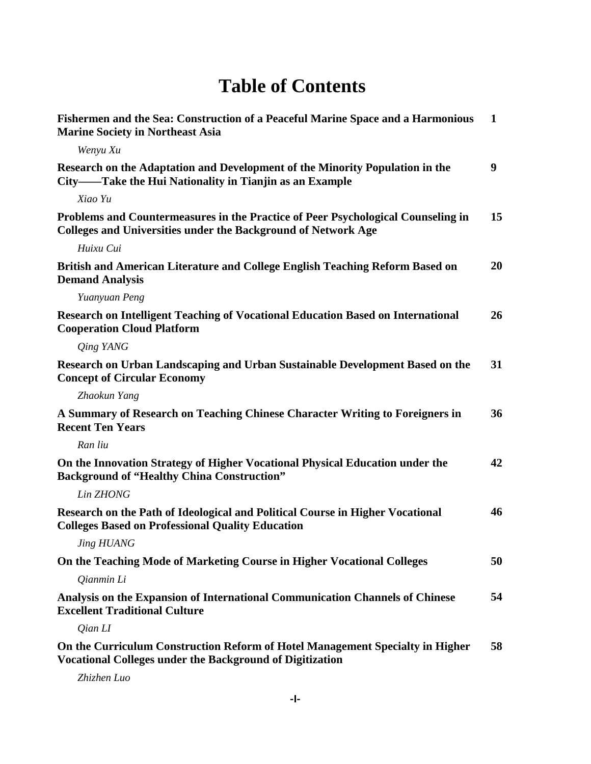## **Table of Contents**

| Fishermen and the Sea: Construction of a Peaceful Marine Space and a Harmonious<br><b>Marine Society in Northeast Asia</b>                               | $\mathbf{1}$     |
|----------------------------------------------------------------------------------------------------------------------------------------------------------|------------------|
| Wenyu Xu                                                                                                                                                 |                  |
| Research on the Adaptation and Development of the Minority Population in the<br>City——Take the Hui Nationality in Tianjin as an Example                  | $\boldsymbol{9}$ |
| Xiao Yu                                                                                                                                                  |                  |
| Problems and Countermeasures in the Practice of Peer Psychological Counseling in<br><b>Colleges and Universities under the Background of Network Age</b> | 15               |
| Huixu Cui                                                                                                                                                |                  |
| British and American Literature and College English Teaching Reform Based on<br><b>Demand Analysis</b>                                                   | 20               |
| Yuanyuan Peng                                                                                                                                            |                  |
| <b>Research on Intelligent Teaching of Vocational Education Based on International</b><br><b>Cooperation Cloud Platform</b>                              | 26               |
| Qing YANG                                                                                                                                                |                  |
| Research on Urban Landscaping and Urban Sustainable Development Based on the<br><b>Concept of Circular Economy</b>                                       | 31               |
| Zhaokun Yang                                                                                                                                             |                  |
| A Summary of Research on Teaching Chinese Character Writing to Foreigners in<br><b>Recent Ten Years</b>                                                  | 36               |
| Ran liu                                                                                                                                                  |                  |
| On the Innovation Strategy of Higher Vocational Physical Education under the<br><b>Background of "Healthy China Construction"</b>                        | 42               |
| Lin ZHONG                                                                                                                                                |                  |
| Research on the Path of Ideological and Political Course in Higher Vocational<br><b>Colleges Based on Professional Quality Education</b>                 | 46               |
| Jing HUANG                                                                                                                                               |                  |
| On the Teaching Mode of Marketing Course in Higher Vocational Colleges                                                                                   | 50               |
| Qianmin Li                                                                                                                                               |                  |
| Analysis on the Expansion of International Communication Channels of Chinese<br><b>Excellent Traditional Culture</b>                                     | 54               |
| Qian LI                                                                                                                                                  |                  |
| On the Curriculum Construction Reform of Hotel Management Specialty in Higher<br><b>Vocational Colleges under the Background of Digitization</b>         | 58               |

*Zhizhen Luo*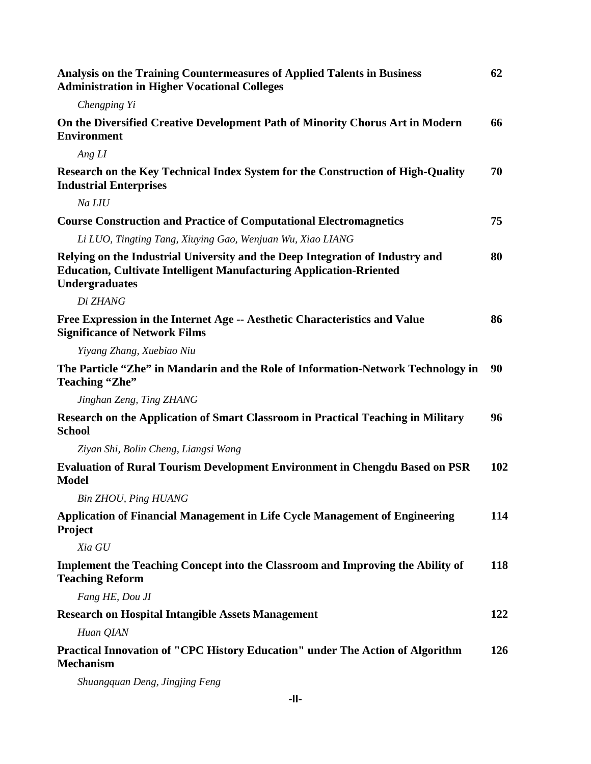| Analysis on the Training Countermeasures of Applied Talents in Business<br><b>Administration in Higher Vocational Colleges</b>                                                       | 62         |
|--------------------------------------------------------------------------------------------------------------------------------------------------------------------------------------|------------|
| Chengping Yi                                                                                                                                                                         |            |
| On the Diversified Creative Development Path of Minority Chorus Art in Modern<br><b>Environment</b>                                                                                  | 66         |
| Ang LI                                                                                                                                                                               |            |
| Research on the Key Technical Index System for the Construction of High-Quality<br><b>Industrial Enterprises</b>                                                                     | 70         |
| Na LIU                                                                                                                                                                               |            |
| <b>Course Construction and Practice of Computational Electromagnetics</b>                                                                                                            | 75         |
| Li LUO, Tingting Tang, Xiuying Gao, Wenjuan Wu, Xiao LIANG                                                                                                                           |            |
| Relying on the Industrial University and the Deep Integration of Industry and<br><b>Education, Cultivate Intelligent Manufacturing Application-Rriented</b><br><b>Undergraduates</b> | 80         |
| Di ZHANG                                                                                                                                                                             |            |
| Free Expression in the Internet Age -- Aesthetic Characteristics and Value<br><b>Significance of Network Films</b>                                                                   | 86         |
| Yiyang Zhang, Xuebiao Niu                                                                                                                                                            |            |
| The Particle "Zhe" in Mandarin and the Role of Information-Network Technology in<br>Teaching "Zhe"                                                                                   | 90         |
| Jinghan Zeng, Ting ZHANG                                                                                                                                                             |            |
| Research on the Application of Smart Classroom in Practical Teaching in Military<br><b>School</b>                                                                                    | 96         |
| Ziyan Shi, Bolin Cheng, Liangsi Wang                                                                                                                                                 |            |
| <b>Evaluation of Rural Tourism Development Environment in Chengdu Based on PSR</b><br><b>Model</b>                                                                                   | 102        |
| Bin ZHOU, Ping HUANG                                                                                                                                                                 |            |
| Application of Financial Management in Life Cycle Management of Engineering<br>Project                                                                                               | 114        |
| Xia GU                                                                                                                                                                               |            |
| Implement the Teaching Concept into the Classroom and Improving the Ability of<br><b>Teaching Reform</b>                                                                             | 118        |
| Fang HE, Dou JI                                                                                                                                                                      |            |
| <b>Research on Hospital Intangible Assets Management</b>                                                                                                                             | 122        |
| Huan QIAN                                                                                                                                                                            |            |
| Practical Innovation of "CPC History Education" under The Action of Algorithm<br><b>Mechanism</b>                                                                                    | <b>126</b> |

*Shuangquan Deng, Jingjing Feng*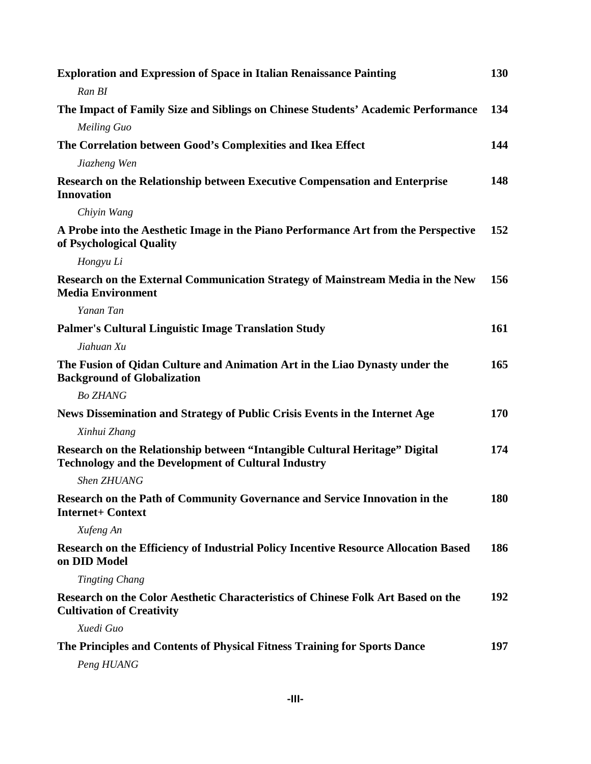| <b>Exploration and Expression of Space in Italian Renaissance Painting</b>                                                                | 130 |
|-------------------------------------------------------------------------------------------------------------------------------------------|-----|
| Ran BI                                                                                                                                    |     |
| The Impact of Family Size and Siblings on Chinese Students' Academic Performance                                                          | 134 |
| <b>Meiling Guo</b>                                                                                                                        |     |
| The Correlation between Good's Complexities and Ikea Effect                                                                               | 144 |
| Jiazheng Wen                                                                                                                              |     |
| Research on the Relationship between Executive Compensation and Enterprise<br><b>Innovation</b>                                           | 148 |
| Chiyin Wang                                                                                                                               |     |
| A Probe into the Aesthetic Image in the Piano Performance Art from the Perspective<br>of Psychological Quality                            | 152 |
| Hongyu Li                                                                                                                                 |     |
| Research on the External Communication Strategy of Mainstream Media in the New<br><b>Media Environment</b>                                | 156 |
| Yanan Tan                                                                                                                                 |     |
| <b>Palmer's Cultural Linguistic Image Translation Study</b>                                                                               | 161 |
| Jiahuan Xu                                                                                                                                |     |
| The Fusion of Qidan Culture and Animation Art in the Liao Dynasty under the<br><b>Background of Globalization</b>                         | 165 |
| <b>Bo ZHANG</b>                                                                                                                           |     |
| News Dissemination and Strategy of Public Crisis Events in the Internet Age                                                               | 170 |
| Xinhui Zhang                                                                                                                              |     |
| Research on the Relationship between "Intangible Cultural Heritage" Digital<br><b>Technology and the Development of Cultural Industry</b> | 174 |
| Shen ZHUANG                                                                                                                               |     |
| Research on the Path of Community Governance and Service Innovation in the<br><b>Internet+ Context</b>                                    | 180 |
| Xufeng An                                                                                                                                 |     |
| Research on the Efficiency of Industrial Policy Incentive Resource Allocation Based<br>on DID Model                                       | 186 |
| <b>Tingting Chang</b>                                                                                                                     |     |
| Research on the Color Aesthetic Characteristics of Chinese Folk Art Based on the<br><b>Cultivation of Creativity</b>                      | 192 |
| Xuedi Guo                                                                                                                                 |     |
| The Principles and Contents of Physical Fitness Training for Sports Dance                                                                 | 197 |
| Peng HUANG                                                                                                                                |     |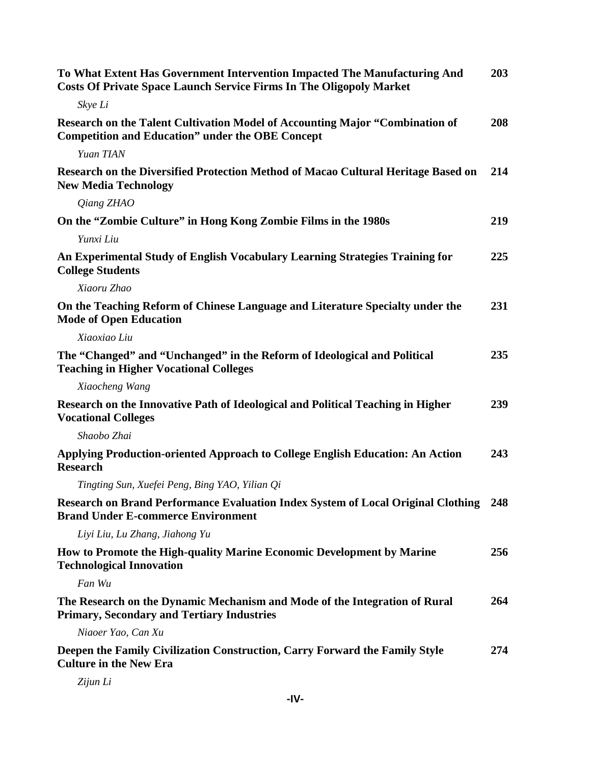| To What Extent Has Government Intervention Impacted The Manufacturing And<br><b>Costs Of Private Space Launch Service Firms In The Oligopoly Market</b> | 203 |
|---------------------------------------------------------------------------------------------------------------------------------------------------------|-----|
| Skye Li                                                                                                                                                 |     |
| Research on the Talent Cultivation Model of Accounting Major "Combination of<br><b>Competition and Education" under the OBE Concept</b>                 | 208 |
| Yuan TIAN                                                                                                                                               |     |
| Research on the Diversified Protection Method of Macao Cultural Heritage Based on<br><b>New Media Technology</b>                                        | 214 |
| Qiang ZHAO                                                                                                                                              |     |
| On the "Zombie Culture" in Hong Kong Zombie Films in the 1980s                                                                                          | 219 |
| Yunxi Liu                                                                                                                                               |     |
| An Experimental Study of English Vocabulary Learning Strategies Training for<br><b>College Students</b>                                                 | 225 |
| Xiaoru Zhao                                                                                                                                             |     |
| On the Teaching Reform of Chinese Language and Literature Specialty under the<br><b>Mode of Open Education</b>                                          | 231 |
| Xiaoxiao Liu                                                                                                                                            |     |
| The "Changed" and "Unchanged" in the Reform of Ideological and Political<br><b>Teaching in Higher Vocational Colleges</b>                               | 235 |
| Xiaocheng Wang                                                                                                                                          |     |
| Research on the Innovative Path of Ideological and Political Teaching in Higher<br><b>Vocational Colleges</b>                                           | 239 |
| Shaobo Zhai                                                                                                                                             |     |
| Applying Production-oriented Approach to College English Education: An Action<br><b>Research</b>                                                        | 243 |
| Tingting Sun, Xuefei Peng, Bing YAO, Yilian Qi                                                                                                          |     |
| Research on Brand Performance Evaluation Index System of Local Original Clothing<br><b>Brand Under E-commerce Environment</b>                           | 248 |
| Liyi Liu, Lu Zhang, Jiahong Yu                                                                                                                          |     |
| How to Promote the High-quality Marine Economic Development by Marine<br><b>Technological Innovation</b>                                                | 256 |
| Fan Wu                                                                                                                                                  |     |
| The Research on the Dynamic Mechanism and Mode of the Integration of Rural<br><b>Primary, Secondary and Tertiary Industries</b>                         | 264 |
| Niaoer Yao, Can Xu                                                                                                                                      |     |
| Deepen the Family Civilization Construction, Carry Forward the Family Style<br><b>Culture in the New Era</b>                                            | 274 |

*Zijun Li*